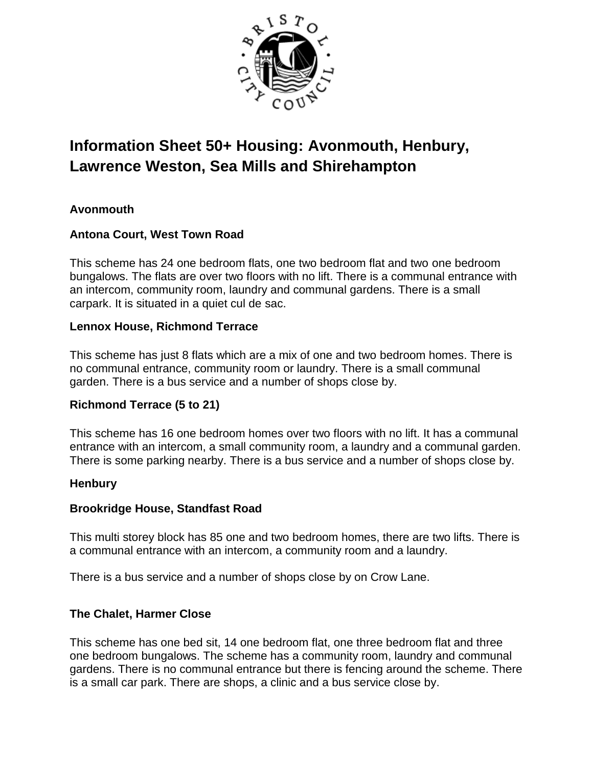

# **Information Sheet 50+ Housing: Avonmouth, Henbury, Lawrence Weston, Sea Mills and Shirehampton**

# **Avonmouth**

# **Antona Court, West Town Road**

This scheme has 24 one bedroom flats, one two bedroom flat and two one bedroom bungalows. The flats are over two floors with no lift. There is a communal entrance with an intercom, community room, laundry and communal gardens. There is a small carpark. It is situated in a quiet cul de sac.

# **Lennox House, Richmond Terrace**

This scheme has just 8 flats which are a mix of one and two bedroom homes. There is no communal entrance, community room or laundry. There is a small communal garden. There is a bus service and a number of shops close by.

# **Richmond Terrace (5 to 21)**

This scheme has 16 one bedroom homes over two floors with no lift. It has a communal entrance with an intercom, a small community room, a laundry and a communal garden. There is some parking nearby. There is a bus service and a number of shops close by.

# **Henbury**

# **Brookridge House, Standfast Road**

This multi storey block has 85 one and two bedroom homes, there are two lifts. There is a communal entrance with an intercom, a community room and a laundry.

There is a bus service and a number of shops close by on Crow Lane.

# **The Chalet, Harmer Close**

This scheme has one bed sit, 14 one bedroom flat, one three bedroom flat and three one bedroom bungalows. The scheme has a community room, laundry and communal gardens. There is no communal entrance but there is fencing around the scheme. There is a small car park. There are shops, a clinic and a bus service close by.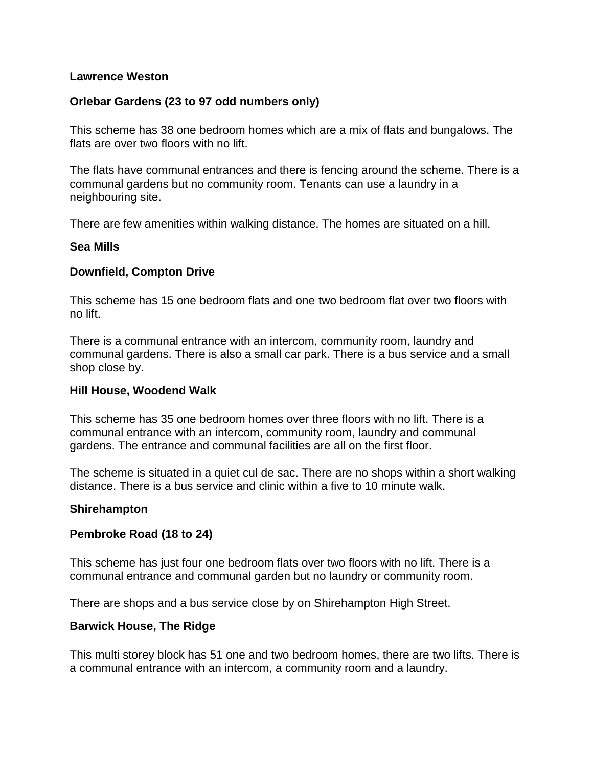#### **Lawrence Weston**

#### **Orlebar Gardens (23 to 97 odd numbers only)**

This scheme has 38 one bedroom homes which are a mix of flats and bungalows. The flats are over two floors with no lift.

The flats have communal entrances and there is fencing around the scheme. There is a communal gardens but no community room. Tenants can use a laundry in a neighbouring site.

There are few amenities within walking distance. The homes are situated on a hill.

#### **Sea Mills**

#### **Downfield, Compton Drive**

This scheme has 15 one bedroom flats and one two bedroom flat over two floors with no lift.

There is a communal entrance with an intercom, community room, laundry and communal gardens. There is also a small car park. There is a bus service and a small shop close by.

#### **Hill House, Woodend Walk**

This scheme has 35 one bedroom homes over three floors with no lift. There is a communal entrance with an intercom, community room, laundry and communal gardens. The entrance and communal facilities are all on the first floor.

The scheme is situated in a quiet cul de sac. There are no shops within a short walking distance. There is a bus service and clinic within a five to 10 minute walk.

#### **Shirehampton**

#### **Pembroke Road (18 to 24)**

This scheme has just four one bedroom flats over two floors with no lift. There is a communal entrance and communal garden but no laundry or community room.

There are shops and a bus service close by on Shirehampton High Street.

# **Barwick House, The Ridge**

This multi storey block has 51 one and two bedroom homes, there are two lifts. There is a communal entrance with an intercom, a community room and a laundry.